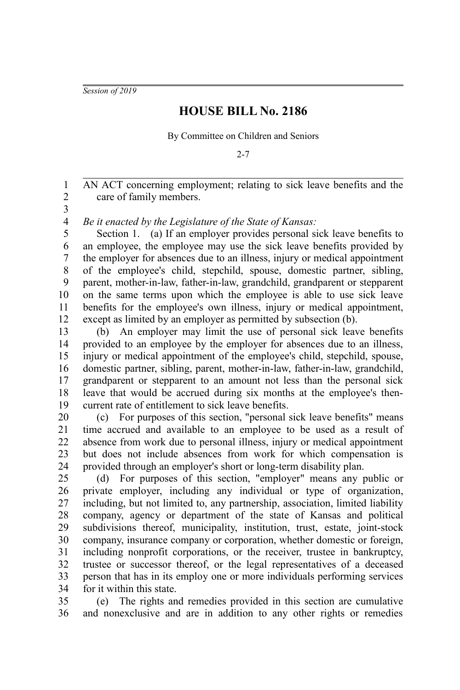*Session of 2019*

## **HOUSE BILL No. 2186**

By Committee on Children and Seniors

2-7

AN ACT concerning employment; relating to sick leave benefits and the care of family members.

2 3

1

*Be it enacted by the Legislature of the State of Kansas:* 4

Section 1. (a) If an employer provides personal sick leave benefits to an employee, the employee may use the sick leave benefits provided by the employer for absences due to an illness, injury or medical appointment of the employee's child, stepchild, spouse, domestic partner, sibling, parent, mother-in-law, father-in-law, grandchild, grandparent or stepparent on the same terms upon which the employee is able to use sick leave benefits for the employee's own illness, injury or medical appointment, except as limited by an employer as permitted by subsection (b). 5 6 7 8 9 10 11 12

(b) An employer may limit the use of personal sick leave benefits provided to an employee by the employer for absences due to an illness, injury or medical appointment of the employee's child, stepchild, spouse, domestic partner, sibling, parent, mother-in-law, father-in-law, grandchild, grandparent or stepparent to an amount not less than the personal sick leave that would be accrued during six months at the employee's thencurrent rate of entitlement to sick leave benefits. 13 14 15 16 17 18 19

(c) For purposes of this section, "personal sick leave benefits" means time accrued and available to an employee to be used as a result of absence from work due to personal illness, injury or medical appointment but does not include absences from work for which compensation is provided through an employer's short or long-term disability plan. 20 21 22 23 24

(d) For purposes of this section, "employer" means any public or private employer, including any individual or type of organization, including, but not limited to, any partnership, association, limited liability company, agency or department of the state of Kansas and political subdivisions thereof, municipality, institution, trust, estate, joint-stock company, insurance company or corporation, whether domestic or foreign, including nonprofit corporations, or the receiver, trustee in bankruptcy, trustee or successor thereof, or the legal representatives of a deceased person that has in its employ one or more individuals performing services for it within this state. 25 26 27 28 29 30 31 32 33 34

(e) The rights and remedies provided in this section are cumulative and nonexclusive and are in addition to any other rights or remedies 35 36